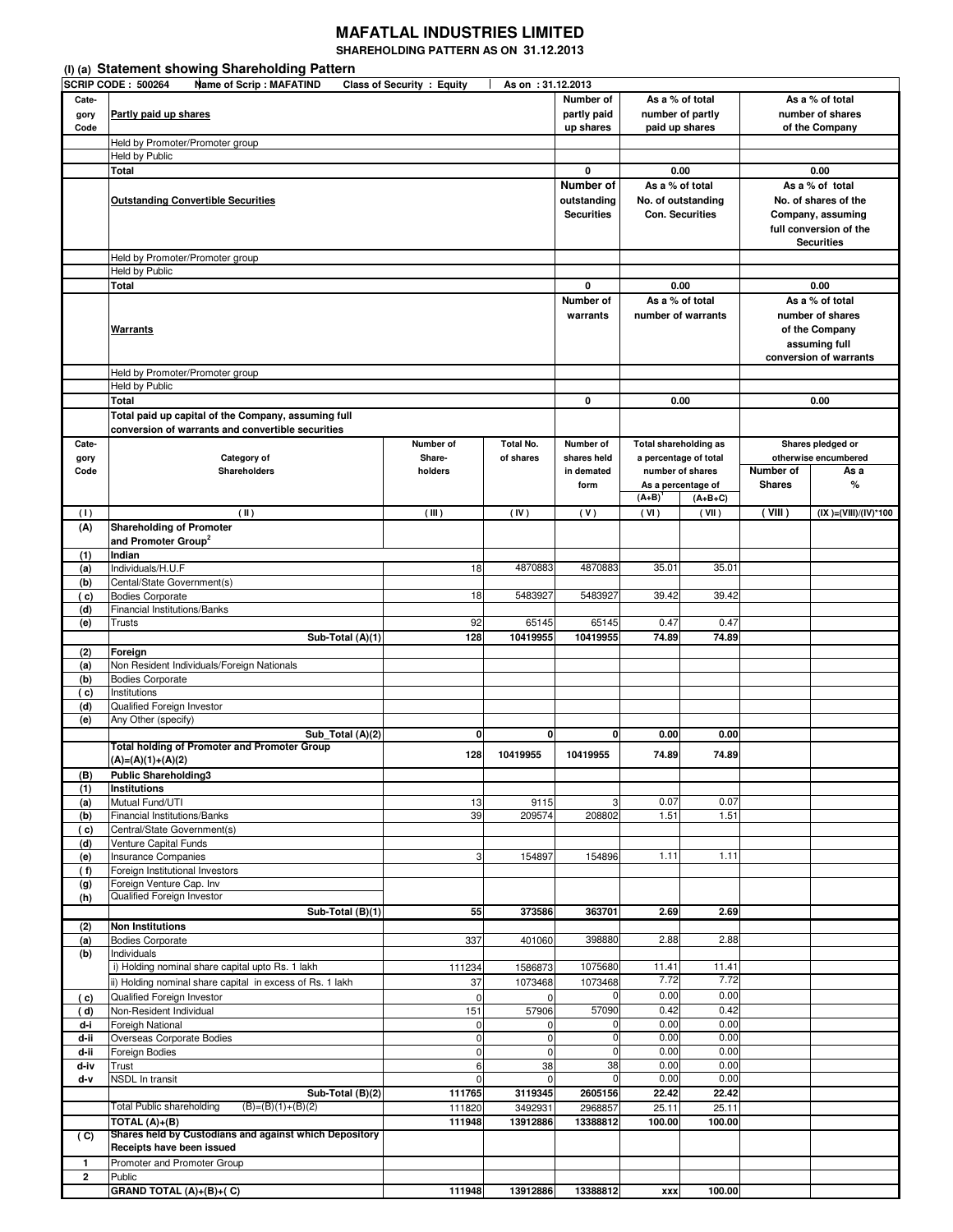## **MAFATLAL INDUSTRIES LIMITED**

**SHAREHOLDING PATTERN AS ON 31.12.2013** 

|               | (I) (a) Statement showing Shareholding Pattern                                                   |                          |                            |                                     |                                                       |                        |                                           |                                         |  |  |
|---------------|--------------------------------------------------------------------------------------------------|--------------------------|----------------------------|-------------------------------------|-------------------------------------------------------|------------------------|-------------------------------------------|-----------------------------------------|--|--|
|               | <b>SCRIP CODE: 500264</b><br><b>Name of Scrip: MAFATIND</b><br><b>Class of Security : Equity</b> | As on : 31.12.2013       |                            |                                     |                                                       |                        |                                           |                                         |  |  |
| Cate-<br>gory | Partly paid up shares                                                                            | Number of<br>partly paid |                            | As a % of total<br>number of partly | As a % of total                                       |                        |                                           |                                         |  |  |
| Code          |                                                                                                  | up shares                | paid up shares             |                                     | number of shares<br>of the Company                    |                        |                                           |                                         |  |  |
|               | Held by Promoter/Promoter group                                                                  |                          |                            |                                     |                                                       |                        |                                           |                                         |  |  |
|               | Held by Public                                                                                   |                          |                            |                                     |                                                       |                        |                                           |                                         |  |  |
|               | Total                                                                                            | 0                        |                            | 0.00                                | 0.00                                                  |                        |                                           |                                         |  |  |
|               |                                                                                                  |                          |                            | Number of                           | As a % of total<br>No. of outstanding                 |                        |                                           | As a % of total                         |  |  |
|               | <b>Outstanding Convertible Securities</b>                                                        |                          |                            | outstanding                         |                                                       | <b>Con. Securities</b> | No. of shares of the                      |                                         |  |  |
|               |                                                                                                  | <b>Securities</b>        |                            |                                     | Company, assuming<br>full conversion of the           |                        |                                           |                                         |  |  |
|               |                                                                                                  |                          |                            |                                     |                                                       | <b>Securities</b>      |                                           |                                         |  |  |
|               | Held by Promoter/Promoter group                                                                  |                          |                            |                                     |                                                       |                        |                                           |                                         |  |  |
|               | Held by Public                                                                                   |                          |                            |                                     |                                                       |                        |                                           |                                         |  |  |
|               | <b>Total</b>                                                                                     |                          |                            | 0                                   |                                                       | 0.00                   | 0.00                                      |                                         |  |  |
|               |                                                                                                  |                          |                            | Number of                           | As a % of total                                       |                        |                                           | As a % of total                         |  |  |
|               |                                                                                                  |                          |                            | warrants                            |                                                       | number of warrants     | number of shares                          |                                         |  |  |
|               | <u>Warrants</u>                                                                                  |                          |                            |                                     |                                                       |                        |                                           | of the Company                          |  |  |
|               |                                                                                                  |                          |                            |                                     |                                                       |                        |                                           | assuming full<br>conversion of warrants |  |  |
|               | Held by Promoter/Promoter group                                                                  |                          |                            |                                     |                                                       |                        |                                           |                                         |  |  |
|               | Held by Public                                                                                   |                          |                            |                                     |                                                       |                        |                                           |                                         |  |  |
|               | <b>Total</b>                                                                                     |                          |                            | 0                                   | 0.00                                                  |                        | 0.00                                      |                                         |  |  |
|               | Total paid up capital of the Company, assuming full                                              |                          |                            |                                     |                                                       |                        |                                           |                                         |  |  |
|               | conversion of warrants and convertible securities                                                |                          |                            |                                     |                                                       |                        |                                           |                                         |  |  |
| Cate-         |                                                                                                  | Number of                | <b>Total No.</b>           | Number of                           | <b>Total shareholding as</b><br>a percentage of total |                        |                                           | Shares pledged or                       |  |  |
| gory<br>Code  | Category of<br><b>Shareholders</b>                                                               | Share-<br>holders        | of shares                  | shares held<br>in demated           |                                                       | number of shares       | otherwise encumbered<br>Number of<br>As a |                                         |  |  |
|               |                                                                                                  |                          |                            | form                                |                                                       | As a percentage of     | <b>Shares</b>                             | %                                       |  |  |
|               |                                                                                                  |                          |                            |                                     | $(A+B)$                                               | $(A+B+C)$              |                                           |                                         |  |  |
| (1)           | (11)                                                                                             | (III)                    | (IV)                       | (V)                                 | (VI)                                                  | (VII)                  | ( VIII)                                   | $(IX )=(VIII)/(IV)*100$                 |  |  |
| (A)           | <b>Shareholding of Promoter</b>                                                                  |                          |                            |                                     |                                                       |                        |                                           |                                         |  |  |
|               | and Promoter Group <sup>2</sup><br>Indian                                                        |                          |                            |                                     |                                                       |                        |                                           |                                         |  |  |
| (1)<br>(a)    | Individuals/H.U.F                                                                                | 18                       | 4870883                    | 4870883                             | 35.01                                                 | 35.01                  |                                           |                                         |  |  |
| (b)           | Cental/State Government(s)                                                                       |                          |                            |                                     |                                                       |                        |                                           |                                         |  |  |
| ( c)          | <b>Bodies Corporate</b>                                                                          | 18                       | 5483927                    | 5483927                             | 39.42                                                 | 39.42                  |                                           |                                         |  |  |
| (d)           | Financial Institutions/Banks                                                                     |                          |                            |                                     |                                                       |                        |                                           |                                         |  |  |
| (e)           | <b>Trusts</b>                                                                                    | 92<br>128                | 65145<br>10419955          | 65145<br>10419955                   | 0.47<br>74.89                                         | 0.47<br>74.89          |                                           |                                         |  |  |
| (2)           | Sub-Total (A)(1)<br>Foreign                                                                      |                          |                            |                                     |                                                       |                        |                                           |                                         |  |  |
| (a)           | Non Resident Individuals/Foreign Nationals                                                       |                          |                            |                                     |                                                       |                        |                                           |                                         |  |  |
| (b)           | <b>Bodies Corporate</b>                                                                          |                          |                            |                                     |                                                       |                        |                                           |                                         |  |  |
| ( c)          | Institutions                                                                                     |                          |                            |                                     |                                                       |                        |                                           |                                         |  |  |
| (d)<br>(e)    | Qualified Foreign Investor<br>Any Other (specify)                                                |                          |                            |                                     |                                                       |                        |                                           |                                         |  |  |
|               | Sub_Total (A)(2)                                                                                 | 0                        | $\mathbf 0$                | 0                                   | 0.00                                                  | 0.00                   |                                           |                                         |  |  |
|               | <b>Total holding of Promoter and Promoter Group</b>                                              |                          | 10419955                   |                                     |                                                       |                        |                                           |                                         |  |  |
|               | $(A)=(A)(1)+(A)(2)$                                                                              | 128                      |                            | 10419955                            | 74.89                                                 | 74.89                  |                                           |                                         |  |  |
| (B)           | <b>Public Shareholding3</b>                                                                      |                          |                            |                                     |                                                       |                        |                                           |                                         |  |  |
| (1)<br>(a)    | <b>Institutions</b><br>Mutual Fund/UTI                                                           | 13                       | 9115                       | 3                                   | 0.07                                                  | 0.07                   |                                           |                                         |  |  |
| (b)           | Financial Institutions/Banks                                                                     | 39                       | 209574                     | 208802                              | 1.51                                                  | 1.51                   |                                           |                                         |  |  |
| (c)           | Central/State Government(s)                                                                      |                          |                            |                                     |                                                       |                        |                                           |                                         |  |  |
| (d)           | Venture Capital Funds                                                                            |                          |                            |                                     |                                                       |                        |                                           |                                         |  |  |
| (e)           | Insurance Companies                                                                              | 3                        | 154897                     | 154896                              | 1.11                                                  | 1.11                   |                                           |                                         |  |  |
| (f)<br>(g)    | Foreign Institutional Investors<br>Foreign Venture Cap. Inv                                      |                          |                            |                                     |                                                       |                        |                                           |                                         |  |  |
| (h)           | Qualified Foreign Investor                                                                       |                          |                            |                                     |                                                       |                        |                                           |                                         |  |  |
|               | Sub-Total (B)(1)                                                                                 | 55                       | 373586                     | 363701                              | 2.69                                                  | 2.69                   |                                           |                                         |  |  |
| (2)           | <b>Non Institutions</b>                                                                          |                          |                            |                                     |                                                       |                        |                                           |                                         |  |  |
| (a)<br>(b)    | <b>Bodies Corporate</b><br>Individuals                                                           | 337                      | 401060                     | 398880                              | 2.88                                                  | 2.88                   |                                           |                                         |  |  |
|               | i) Holding nominal share capital upto Rs. 1 lakh                                                 | 111234                   | 1586873                    | 1075680                             | 11.41                                                 | 11.41                  |                                           |                                         |  |  |
|               | ii) Holding nominal share capital in excess of Rs. 1 lakh                                        | 37                       | 1073468                    | 1073468                             | 7.72                                                  | 7.72                   |                                           |                                         |  |  |
| (c)           | Qualified Foreign Investor                                                                       | 0                        | $\mathbf 0$                |                                     | 0.00                                                  | 0.00                   |                                           |                                         |  |  |
| ( d)          | Non-Resident Individual                                                                          | 151                      | 57906                      | 57090                               | 0.42                                                  | 0.42                   |                                           |                                         |  |  |
| d-i           | Foreigh National                                                                                 | 0                        | 0                          |                                     | 0.00                                                  | 0.00                   |                                           |                                         |  |  |
| d-ii<br>d-ii  | Overseas Corporate Bodies<br>Foreign Bodies                                                      | 0<br>0                   | $\mathbf 0$<br>$\mathbf 0$ | $\Omega$<br>0                       | 0.00<br>0.00                                          | 0.00<br>0.00           |                                           |                                         |  |  |
|               |                                                                                                  | 6                        | 38                         | 38                                  | 0.00                                                  | 0.00                   |                                           |                                         |  |  |
| d-iv          | Trust                                                                                            |                          |                            | $\mathbf 0$                         | 0.00                                                  | 0.00                   |                                           |                                         |  |  |
| d-v           | NSDL In transit                                                                                  | 0                        | $\mathbf 0$                |                                     |                                                       |                        |                                           |                                         |  |  |
|               | Sub-Total (B)(2)                                                                                 | 111765                   | 3119345                    | 2605156                             | 22.42                                                 | 22.42                  |                                           |                                         |  |  |
|               | Total Public shareholding<br>$(B)=(B)(1)+(B)(2)$                                                 | 111820                   | 3492931                    | 2968857                             | 25.11                                                 | 25.11                  |                                           |                                         |  |  |
|               | TOTAL $(A)+(B)$                                                                                  | 111948                   | 13912886                   | 13388812                            | 100.00                                                | 100.00                 |                                           |                                         |  |  |
| (C)           | Shares held by Custodians and against which Depository<br>Receipts have been issued              |                          |                            |                                     |                                                       |                        |                                           |                                         |  |  |
| 1             | Promoter and Promoter Group                                                                      |                          |                            |                                     |                                                       |                        |                                           |                                         |  |  |
| $\mathbf{2}$  | Public<br>GRAND TOTAL $(A)+(B)+(C)$                                                              | 111948                   | 13912886                   | 13388812                            |                                                       | 100.00                 |                                           |                                         |  |  |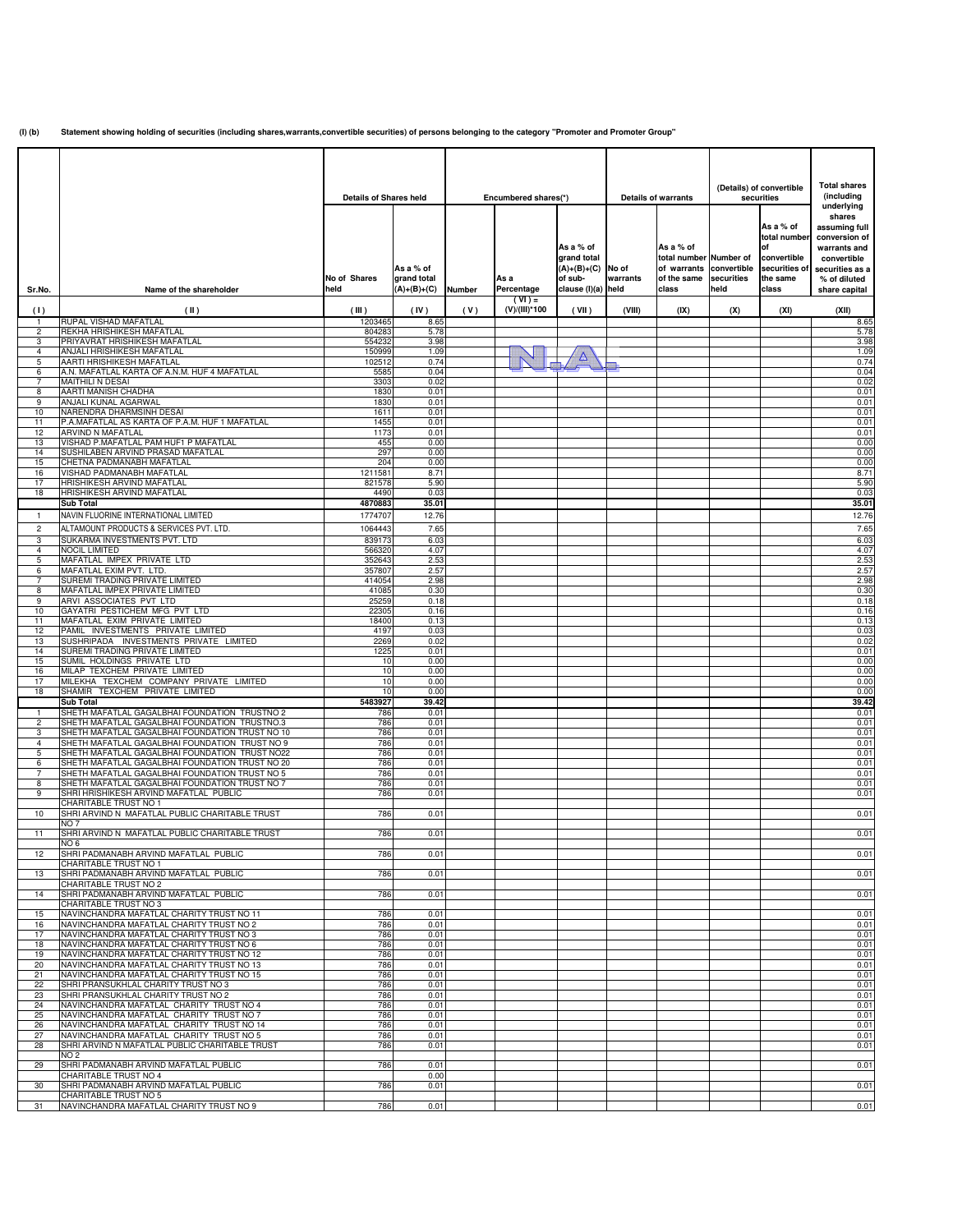**(I) (b) Statement showing holding of securities (including shares,warrants,convertible securities) of persons belonging to the category "Promoter and Promoter Group"**

|                     |                                                                                                   |                               |                            |               |                      |                               |          |                            | (Details) of convertible |                    | <b>Total shares</b>           |
|---------------------|---------------------------------------------------------------------------------------------------|-------------------------------|----------------------------|---------------|----------------------|-------------------------------|----------|----------------------------|--------------------------|--------------------|-------------------------------|
|                     |                                                                                                   | <b>Details of Shares held</b> |                            |               | Encumbered shares(*) |                               |          | <b>Details of warrants</b> |                          | securities         | (including                    |
|                     |                                                                                                   |                               |                            |               |                      |                               |          |                            |                          |                    | underlying<br>shares          |
|                     |                                                                                                   |                               |                            |               |                      |                               |          |                            |                          | As a % of          | assuming full                 |
|                     |                                                                                                   |                               |                            |               |                      | As a % of                     |          | As a % of                  |                          | total number<br>οf | conversion of<br>warrants and |
|                     |                                                                                                   |                               |                            |               |                      | grand total                   |          | total number Number of     |                          | convertible        | convertible                   |
|                     |                                                                                                   |                               | As a % of                  |               |                      | $(A)+(B)+(C)$                 | No of    | of warrants                | convertible              | securities of      | securities as a               |
| Sr.No.              | Name of the shareholder                                                                           | No of Shares<br>held          | grand total<br>(A)+(B)+(C) | <b>Number</b> | As a<br>Percentage   | of sub-<br>clause (I)(a) held | warrants | of the same<br>class       | securities<br>held       | the same<br>class  | % of diluted<br>share capital |
|                     |                                                                                                   |                               |                            |               | $(VI) =$             |                               |          |                            |                          |                    |                               |
| (1)<br>-1           | (II)<br>RUPAL VISHAD MAFATLAL                                                                     | (III)<br>1203465              | (IV)<br>8.65               | (V)           | (V)/(III)*100        | (VII)                         | (VIII)   | (IX)                       | (X)                      | (XI)               | (XII)<br>8.65                 |
| $\overline{2}$      | REKHA HRISHIKESH MAFATLAL                                                                         | 804283                        | 5.78                       |               |                      |                               |          |                            |                          |                    | 5.78                          |
| 3                   | PRIYAVRAT HRISHIKESH MAFATLAL<br>ANJALI HRISHIKESH MAFATLAL                                       | 554232<br>150999              | 3.98                       |               |                      |                               |          |                            |                          |                    | 3.98<br>1.09                  |
| 4<br>5              | AARTI HRISHIKESH MAFATLAL                                                                         | 102512                        | 1.09<br>0.74               |               |                      |                               |          |                            |                          |                    | 0.74                          |
| 6                   | A.N. MAFATLAL KARTA OF A.N.M. HUF 4 MAFATLAL                                                      | 5585                          | 0.04                       |               |                      |                               |          |                            |                          |                    | 0.04                          |
| 7<br>8              | MAITHILI N DESAI<br>AARTI MANISH CHADHA                                                           | 3303<br>1830                  | 0.02<br>0.01               |               |                      |                               |          |                            |                          |                    | 0.02<br>0.01                  |
| 9                   | ANJALI KUNAL AGARWAL                                                                              | 1830                          | 0.01                       |               |                      |                               |          |                            |                          |                    | 0.01                          |
| 10<br>11            | NARENDRA DHARMSINH DESAI<br>P.A.MAFATLAL AS KARTA OF P.A.M. HUF 1 MAFATLAL                        | 1611<br>1455                  | 0.01<br>0.01               |               |                      |                               |          |                            |                          |                    | 0.01<br>0.01                  |
| 12                  | ARVIND N MAFATLAL                                                                                 | 1173                          | 0.01                       |               |                      |                               |          |                            |                          |                    | 0.01                          |
| 13                  | VISHAD P.MAFATLAL PAM HUF1 P MAFATLAL<br>SUSHILABEN ARVIND PRASAD MAFATLAL                        | 455                           | 0.00                       |               |                      |                               |          |                            |                          |                    | 0.00                          |
| 14<br>15            | CHETNA PADMANABH MAFATLAL                                                                         | 297<br>204                    | 0.00<br>0.00               |               |                      |                               |          |                            |                          |                    | 0.00<br>0.00                  |
| 16                  | VISHAD PADMANABH MAFATLAL                                                                         | 1211581                       | 8.71                       |               |                      |                               |          |                            |                          |                    | 8.71                          |
| 17<br>18            | HRISHIKESH ARVIND MAFATLAL<br>HRISHIKESH ARVIND MAFATLAL                                          | 821578<br>4490                | 5.90<br>0.03               |               |                      |                               |          |                            |                          |                    | 5.90<br>0.03                  |
|                     | <b>Sub Total</b>                                                                                  | 4870883                       | 35.01                      |               |                      |                               |          |                            |                          |                    | 35.01                         |
| $\mathbf{1}$        | NAVIN FLUORINE INTERNATIONAL LIMITED                                                              | 1774707                       | 12.76                      |               |                      |                               |          |                            |                          |                    | 12.76                         |
| $\overline{c}$      | ALTAMOUNT PRODUCTS & SERVICES PVT. LTD.                                                           | 1064443                       | 7.65                       |               |                      |                               |          |                            |                          |                    | 7.65                          |
| 3<br>4              | SUKARMA INVESTMENTS PVT. LTD<br><b>NOCIL LIMITED</b>                                              | 839173<br>566320              | 6.03<br>4.07               |               |                      |                               |          |                            |                          |                    | 6.03<br>4.07                  |
| 5                   | MAFATLAL IMPEX PRIVATE LTD                                                                        | 352643                        | 2.53                       |               |                      |                               |          |                            |                          |                    | 2.53                          |
| 6                   | MAFATLAL EXIM PVT. LTD.                                                                           | 357807                        | 2.57                       |               |                      |                               |          |                            |                          |                    | 2.57                          |
| $\overline{7}$<br>8 | SUREMI TRADING PRIVATE LIMITED<br>MAFATLAL IMPEX PRIVATE LIMITED                                  | 414054<br>41085               | 2.98<br>0.30               |               |                      |                               |          |                            |                          |                    | 2.98<br>0.30                  |
| 9                   | ARVI ASSOCIATES PVT LTD                                                                           | 25259                         | 0.18                       |               |                      |                               |          |                            |                          |                    | 0.18                          |
| 10<br>11            | GAYATRI PESTICHEM MFG PVT LTD<br>MAFATLAL EXIM PRIVATE LIMITED                                    | 22305<br>18400                | 0.16<br>0.13               |               |                      |                               |          |                            |                          |                    | 0.16<br>0.13                  |
| 12                  | PAMIL INVESTMENTS PRIVATE LIMITED                                                                 | 4197                          | 0.03                       |               |                      |                               |          |                            |                          |                    | 0.03                          |
| 13                  | SUSHRIPADA INVESTMENTS PRIVATE LIMITED                                                            | 2269                          | 0.02                       |               |                      |                               |          |                            |                          |                    | 0.02                          |
| 14<br>15            | SUREMI TRADING PRIVATE LIMITED<br>SUMIL HOLDINGS PRIVATE LTD                                      | 1225<br>10                    | 0.01<br>0.00               |               |                      |                               |          |                            |                          |                    | 0.01<br>0.00                  |
| 16                  | MILAP TEXCHEM PRIVATE LIMITED                                                                     | 10                            | 0.00                       |               |                      |                               |          |                            |                          |                    | 0.00                          |
| 17<br>18            | MILEKHA TEXCHEM COMPANY PRIVATE LIMITED<br>SHAMIR TEXCHEM PRIVATE LIMITED                         | 10<br>10                      | 0.00<br>0.00               |               |                      |                               |          |                            |                          |                    | 0.00<br>0.00                  |
|                     | <b>Sub Total</b>                                                                                  | 5483927                       | 39.42                      |               |                      |                               |          |                            |                          |                    | 39.42                         |
| $\mathbf{1}$        | SHETH MAFATLAL GAGALBHAI FOUNDATION TRUSTNO 2                                                     | 786                           | 0.01                       |               |                      |                               |          |                            |                          |                    | 0.01                          |
| 2<br>3              | SHETH MAFATLAL GAGALBHAI FOUNDATION TRUSTNO.3<br>SHETH MAFATLAL GAGALBHAI FOUNDATION TRUST NO 10  | 786<br>786                    | 0.01<br>0.01               |               |                      |                               |          |                            |                          |                    | 0.01<br>0.01                  |
| $\overline{4}$      | SHETH MAFATLAL GAGALBHAI FOUNDATION TRUST NO 9                                                    | 786                           | 0.01                       |               |                      |                               |          |                            |                          |                    | 0.01                          |
| 5<br>6              | SHETH MAFATLAL GAGALBHAI FOUNDATION TRUST NO22<br>SHETH MAFATLAL GAGALBHAI FOUNDATION TRUST NO 20 | 786<br>786                    | 0.01<br>0.01               |               |                      |                               |          |                            |                          |                    | 0.01<br>0.01                  |
| 7                   | SHETH MAFATLAL GAGALBHAI FOUNDATION TRUST NO 5                                                    | 786                           | 0.01                       |               |                      |                               |          |                            |                          |                    | 0.01                          |
| 8                   | SHETH MAFATLAL GAGALBHAI FOUNDATION TRUST NO 7                                                    | 786                           | 0.01                       |               |                      |                               |          |                            |                          |                    | 0.01                          |
| 9                   | SHRI HRISHIKESH ARVIND MAFATLAL PUBLIC<br>CHARITABLE TRUST NO 1                                   | 786                           | 0.01                       |               |                      |                               |          |                            |                          |                    | 0.01                          |
| 10                  | SHRI ARVIND N MAFATLAL PUBLIC CHARITABLE TRUST                                                    | 786                           | 0.01                       |               |                      |                               |          |                            |                          |                    | 0.01                          |
| 11                  | NO 7<br>SHRI ARVIND N MAFATLAL PUBLIC CHARITABLE TRUST                                            | 786                           | 0.01                       |               |                      |                               |          |                            |                          |                    | 0.01                          |
|                     | NO 6                                                                                              |                               |                            |               |                      |                               |          |                            |                          |                    |                               |
| 12                  | SHRI PADMANABH ARVIND MAFATLAL PUBLIC<br>CHARITABLE TRUST NO 1                                    | 786                           | 0.01                       |               |                      |                               |          |                            |                          |                    | 0.01                          |
| 13                  | SHRI PADMANABH ARVIND MAFATLAL PUBLIC                                                             | 786                           | 0.01                       |               |                      |                               |          |                            |                          |                    | 0.01                          |
|                     | <b>CHARITABLE TRUST NO 2</b>                                                                      |                               |                            |               |                      |                               |          |                            |                          |                    |                               |
| 14                  | SHRI PADMANABH ARVIND MAFATLAL PUBLIC<br>CHARITABLE TRUST NO 3                                    | 786                           | 0.01                       |               |                      |                               |          |                            |                          |                    | 0.01                          |
| 15                  | NAVINCHANDRA MAFATLAL CHARITY TRUST NO 11                                                         | 786                           | 0.01                       |               |                      |                               |          |                            |                          |                    | 0.01                          |
| 16<br>17            | NAVINCHANDRA MAFATLAL CHARITY TRUST NO 2<br>NAVINCHANDRA MAFATLAL CHARITY TRUST NO 3              | 786<br>786                    | 0.01<br>0.01               |               |                      |                               |          |                            |                          |                    | 0.01<br>0.01                  |
| 18                  | NAVINCHANDRA MAFATLAL CHARITY TRUST NO 6                                                          | 786                           | 0.01                       |               |                      |                               |          |                            |                          |                    | 0.01                          |
| 19                  | NAVINCHANDRA MAFATLAL CHARITY TRUST NO 12                                                         | 786                           | 0.01                       |               |                      |                               |          |                            |                          |                    | 0.01                          |
| 20<br>21            | NAVINCHANDRA MAFATLAL CHARITY TRUST NO 13<br>NAVINCHANDRA MAFATLAL CHARITY TRUST NO 15            | 786<br>786                    | 0.01<br>0.01               |               |                      |                               |          |                            |                          |                    | 0.01<br>0.01                  |
| 22                  | SHRI PRANSUKHLAL CHARITY TRUST NO 3                                                               | 786                           | 0.01                       |               |                      |                               |          |                            |                          |                    | 0.01                          |
| 23<br>24            | SHRI PRANSUKHLAL CHARITY TRUST NO 2<br>NAVINCHANDRA MAFATLAL CHARITY TRUST NO 4                   | 786<br>786                    | 0.01<br>0.01               |               |                      |                               |          |                            |                          |                    | 0.01<br>0.01                  |
| 25                  | NAVINCHANDRA MAFATLAL CHARITY TRUST NO 7                                                          | 786                           | 0.01                       |               |                      |                               |          |                            |                          |                    | 0.01                          |
| 26                  | NAVINCHANDRA MAFATLAL CHARITY TRUST NO 14<br>NAVINCHANDRA MAFATLAL CHARITY TRUST NO 5             | 786                           | 0.01                       |               |                      |                               |          |                            |                          |                    | 0.01                          |
| 27<br>28            | SHRI ARVIND N MAFATLAL PUBLIC CHARITABLE TRUST                                                    | 786<br>786                    | 0.01<br>0.01               |               |                      |                               |          |                            |                          |                    | 0.01<br>0.01                  |
|                     | <b>NO2</b>                                                                                        |                               |                            |               |                      |                               |          |                            |                          |                    |                               |
| 29                  | SHRI PADMANABH ARVIND MAFATLAL PUBLIC<br>CHARITABLE TRUST NO 4                                    | 786                           | 0.01<br>0.00               |               |                      |                               |          |                            |                          |                    | 0.01                          |
| 30                  | SHRI PADMANABH ARVIND MAFATLAL PUBLIC                                                             | 786                           | 0.01                       |               |                      |                               |          |                            |                          |                    | 0.01                          |
| 31                  | CHARITABLE TRUST NO 5<br>NAVINCHANDRA MAFATLAL CHARITY TRUST NO 9                                 | 786                           | 0.01                       |               |                      |                               |          |                            |                          |                    | 0.01                          |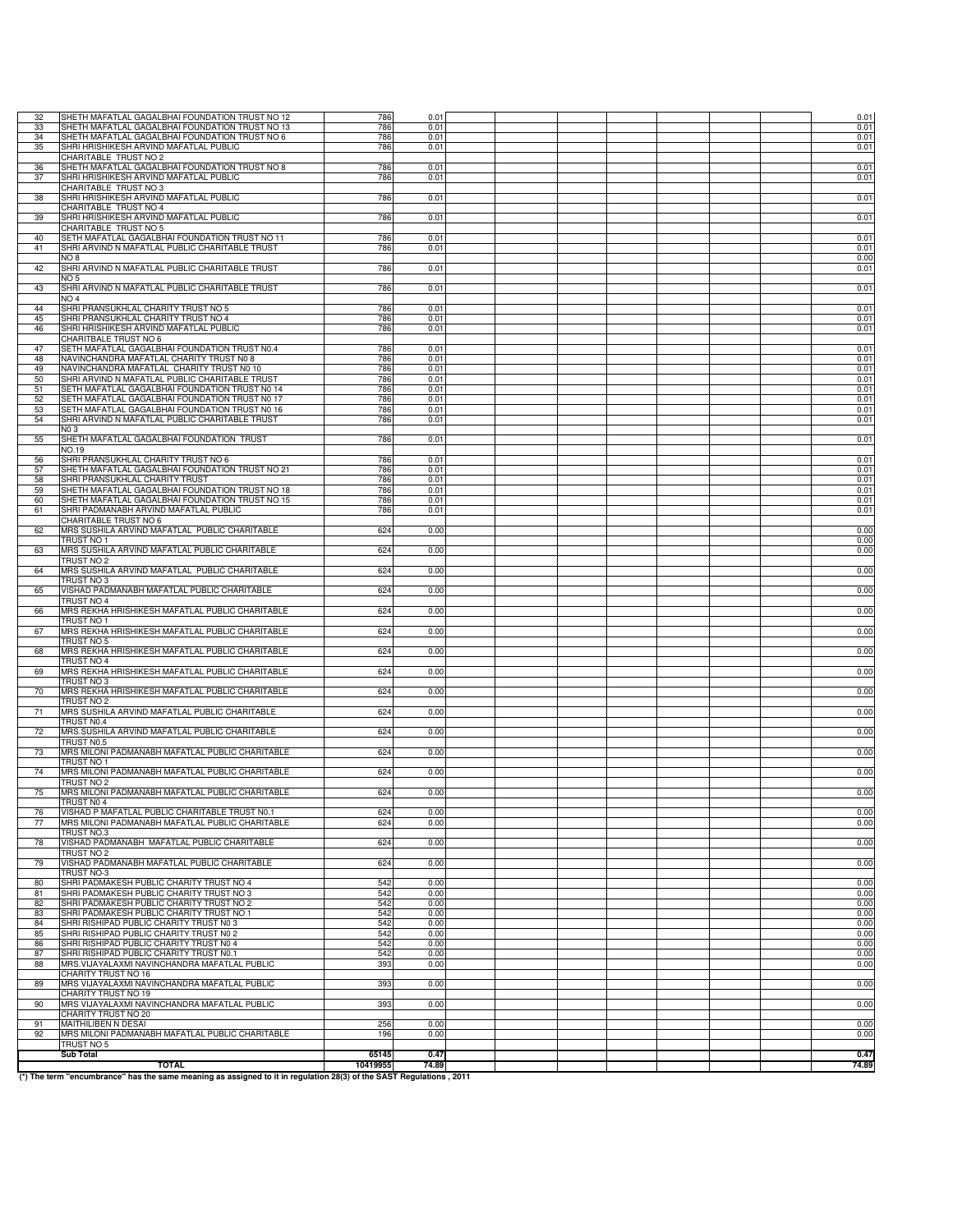| 32       | SHETH MAFATLAL GAGALBHAI FOUNDATION TRUST NO 12                                                                     | 786               | 0.01          |  |  |  | 0.01          |
|----------|---------------------------------------------------------------------------------------------------------------------|-------------------|---------------|--|--|--|---------------|
| 33       | SHETH MAFATLAL GAGALBHAI FOUNDATION TRUST NO 13                                                                     | 786               | 0.01          |  |  |  | 0.01          |
| 34<br>35 | SHETH MAFATLAL GAGALBHAI FOUNDATION TRUST NO 6<br>SHRI HRISHIKESH ARVIND MAFATLAL PUBLIC                            | 786<br>786        | 0.01<br>0.01  |  |  |  | 0.01<br>0.01  |
|          | CHARITABLE TRUST NO 2                                                                                               |                   |               |  |  |  |               |
| 36       | SHETH MAFATLAL GAGALBHAI FOUNDATION TRUST NO 8                                                                      | 786               | 0.01          |  |  |  | 0.01          |
| 37       | SHRI HRISHIKESH ARVIND MAFATLAL PUBLIC<br>CHARITABLE TRUST NO 3                                                     | 786               | 0.01          |  |  |  | 0.01          |
| 38       | SHRI HRISHIKESH ARVIND MAFATLAL PUBLIC                                                                              | 786               | 0.01          |  |  |  | 0.01          |
|          | CHARITABLE TRUST NO 4<br>SHRI HRISHIKESH ARVIND MAFATLAL PUBLIC                                                     |                   | 0.01          |  |  |  |               |
| 39       | CHARITABLE TRUST NO 5                                                                                               | 786               |               |  |  |  | 0.01          |
| 40       | SETH MAFATLAL GAGALBHAI FOUNDATION TRUST NO 11                                                                      | 786               | 0.01          |  |  |  | 0.01          |
| 41       | SHRI ARVIND N MAFATLAL PUBLIC CHARITABLE TRUST<br>NO 8                                                              | 786               | 0.01          |  |  |  | 0.01<br>0.00  |
| 42       | SHRI ARVIND N MAFATLAL PUBLIC CHARITABLE TRUST                                                                      | 786               | 0.01          |  |  |  | 0.01          |
|          | NO 5                                                                                                                |                   |               |  |  |  |               |
| 43       | SHRI ARVIND N MAFATLAL PUBLIC CHARITABLE TRUST<br>NO 4                                                              | 786               | 0.01          |  |  |  | 0.01          |
| 44       | SHRI PRANSUKHLAL CHARITY TRUST NO 5                                                                                 | 786               | 0.01          |  |  |  | 0.01          |
| 45<br>46 | SHRI PRANSUKHLAL CHARITY TRUST NO 4<br>SHRI HRISHIKESH ARVIND MAFATLAL PUBLIC                                       | 786<br>786        | 0.01<br>0.01  |  |  |  | 0.01<br>0.01  |
|          | CHARITBALE TRUST NO 6                                                                                               |                   |               |  |  |  |               |
| 47       | SETH MAFATLAL GAGALBHAI FOUNDATION TRUST N0.4                                                                       | 786               | 0.01          |  |  |  | 0.01          |
| 48<br>49 | NAVINCHANDRA MAFATLAL CHARITY TRUST N0 8<br>NAVINCHANDRA MAFATLAL CHARITY TRUST N0 10                               | 786<br>786        | 0.01<br>0.01  |  |  |  | 0.01<br>0.01  |
| 50       | SHRI ARVIND N MAFATLAL PUBLIC CHARITABLE TRUST                                                                      | 786               | 0.01          |  |  |  | 0.01          |
| 51       | SETH MAFATLAL GAGALBHAI FOUNDATION TRUST N0 14                                                                      | 786               | 0.01          |  |  |  | 0.01          |
| 52<br>53 | SETH MAFATLAL GAGALBHAI FOUNDATION TRUST N0 17<br>SETH MAFATLAL GAGALBHAI FOUNDATION TRUST N0 16                    | 786<br>786        | 0.01<br>0.01  |  |  |  | 0.01<br>0.01  |
| 54       | SHRI ARVIND N MAFATLAL PUBLIC CHARITABLE TRUST                                                                      | 786               | 0.01          |  |  |  | 0.01          |
| 55       | N03<br>SHETH MAFATLAL GAGALBHAI FOUNDATION TRUST                                                                    |                   | 0.01          |  |  |  | 0.01          |
|          | NO.19                                                                                                               | 786               |               |  |  |  |               |
| 56       | SHRI PRANSUKHLAL CHARITY TRUST NO 6                                                                                 | 786               | 0.01          |  |  |  | 0.01          |
| 57<br>58 | SHETH MAFATLAL GAGALBHAI FOUNDATION TRUST NO 21<br>SHRI PRANSUKHLAL CHARITY TRUST                                   | 786<br>786        | 0.01<br>0.01  |  |  |  | 0.01<br>0.01  |
| 59       | SHETH MAFATLAL GAGALBHAI FOUNDATION TRUST NO 18                                                                     | 786               | 0.01          |  |  |  | 0.01          |
| 60       | SHETH MAFATLAL GAGALBHAI FOUNDATION TRUST NO 15                                                                     | 786               | 0.01          |  |  |  | 0.01          |
| 61       | SHRI PADMANABH ARVIND MAFATLAL PUBLIC<br><b>CHARITABLE TRUST NO 6</b>                                               | 786               | 0.01          |  |  |  | 0.01          |
| 62       | MRS SUSHILA ARVIND MAFATLAL PUBLIC CHARITABLE                                                                       | 624               | 0.00          |  |  |  | 0.00          |
|          | TRUST NO 1<br>MRS SUSHILA ARVIND MAFATLAL PUBLIC CHARITABLE                                                         | 624               | 0.00          |  |  |  | 0.00          |
| 63       | TRUST NO 2                                                                                                          |                   |               |  |  |  | 0.00          |
| 64       | MRS SUSHILA ARVIND MAFATLAL PUBLIC CHARITABLE                                                                       | 624               | 0.00          |  |  |  | 0.00          |
| 65       | TRUST NO 3<br>VISHAD PADMANABH MAFATLAL PUBLIC CHARITABLE                                                           | 624               | 0.00          |  |  |  | 0.00          |
|          | TRUST NO 4                                                                                                          |                   |               |  |  |  |               |
| 66       | MRS REKHA HRISHIKESH MAFATLAL PUBLIC CHARITABLE                                                                     | 624               | 0.00          |  |  |  | 0.00          |
| 67       | TRUST NO 1<br>MRS REKHA HRISHIKESH MAFATLAL PUBLIC CHARITABLE                                                       | 624               | 0.00          |  |  |  | 0.00          |
|          | TRUST NO 5                                                                                                          |                   |               |  |  |  |               |
| 68       | MRS REKHA HRISHIKESH MAFATLAL PUBLIC CHARITABLE<br>TRUST NO 4                                                       | 624               | 0.00          |  |  |  | 0.00          |
| 69       | MRS REKHA HRISHIKESH MAFATLAL PUBLIC CHARITABLE                                                                     | 624               | 0.00          |  |  |  | 0.00          |
|          | TRUST NO 3                                                                                                          |                   |               |  |  |  |               |
| 70       | MRS REKHA HRISHIKESH MAFATLAL PUBLIC CHARITABLE<br>TRUST NO 2                                                       | 624               | 0.00          |  |  |  | 0.00          |
| 71       | MRS SUSHILA ARVIND MAFATLAL PUBLIC CHARITABLE                                                                       | 624               | 0.00          |  |  |  | 0.00          |
|          | TRUST N0.4                                                                                                          |                   |               |  |  |  |               |
| 72       | MRS.SUSHILA ARVIND MAFATLAL PUBLIC CHARITABLE<br>TRUST N0.5                                                         | 624               | 0.00          |  |  |  | 0.00          |
| 73       | MRS MILONI PADMANABH MAFATLAL PUBLIC CHARITABLE                                                                     | 624               | 0.00          |  |  |  | 0.00          |
| 74       | TRUST NO 1<br>MRS MILONI PADMANABH MAFATLAL PUBLIC CHARITABLE                                                       | 624               | 0.00          |  |  |  | 0.00          |
|          | TRUST NO 2                                                                                                          |                   |               |  |  |  |               |
| 75       | MRS MILONI PADMANABH MAFATLAL PUBLIC CHARITABLE                                                                     | 624               | 0.00          |  |  |  | 0.00          |
| 76       | TRUST NO 4<br>VISHAD P MAFATLAL PUBLIC CHARITABLE TRUST N0.1                                                        | 624               | 0.00          |  |  |  | 0.00          |
| 77       | MRS MILONI PADMANABH MAFATLAL PUBLIC CHARITABLE                                                                     | 624               | 0.00          |  |  |  | 0.00          |
| 78       | TRUST NO.3<br>VISHAD PADMANABH MAFATLAL PUBLIC CHARITABLE                                                           | 624               | 0.00          |  |  |  | 0.00          |
|          | TRUST NO 2                                                                                                          |                   |               |  |  |  |               |
| 79       | VISHAD PADMANABH MAFATLAL PUBLIC CHARITABLE                                                                         | 624               | 0.00          |  |  |  | 0.00          |
| 80       | TRUST NO-3<br>SHRI PADMAKESH PUBLIC CHARITY TRUST NO 4                                                              | 542               | 0.00          |  |  |  | 0.00          |
| 81       | SHRI PADMAKESH PUBLIC CHARITY TRUST NO 3                                                                            | 542               | 0.00          |  |  |  | 0.00          |
| 82       | SHRI PADMAKESH PUBLIC CHARITY TRUST NO 2                                                                            | 542<br>542        | 0.00<br>0.00  |  |  |  | 0.00          |
| 83<br>84 | SHRI PADMAKESH PUBLIC CHARITY TRUST NO 1<br>SHRI RISHIPAD PUBLIC CHARITY TRUST N0 3                                 | 542               | 0.00          |  |  |  | 0.00<br>0.00  |
| 85       | SHRI RISHIPAD PUBLIC CHARITY TRUST N0 2                                                                             | 542               | 0.00          |  |  |  | 0.00          |
| 86<br>87 | SHRI RISHIPAD PUBLIC CHARITY TRUST N0 4<br>SHRI RISHIPAD PUBLIC CHARITY TRUST N0.1                                  | 542<br>542        | 0.00<br>0.00  |  |  |  | 0.00<br>0.00  |
| 88       | MRS. VIJAYALAXMI NAVINCHANDRA MAFATLAL PUBLIC                                                                       | 393               | 0.00          |  |  |  | 0.00          |
|          | CHARITY TRUST NO 16                                                                                                 |                   |               |  |  |  |               |
| 89       | MRS VIJAYALAXMI NAVINCHANDRA MAFATLAL PUBLIC<br>CHARITY TRUST NO 19                                                 | 393               | 0.00          |  |  |  | 0.00          |
| 90       | MRS VIJAYALAXMI NAVINCHANDRA MAFATLAL PUBLIC                                                                        | 393               | 0.00          |  |  |  | 0.00          |
| 91       | CHARITY TRUST NO 20<br>MAITHILIBEN N DESAI                                                                          | 256               | 0.00          |  |  |  | 0.00          |
| 92       | MRS MILONI PADMANABH MAFATLAL PUBLIC CHARITABLE                                                                     | 196               | 0.00          |  |  |  | 0.00          |
|          | TRUST NO 5                                                                                                          |                   |               |  |  |  |               |
|          | <b>Sub Total</b><br><b>TOTAL</b>                                                                                    | 65145<br>10419955 | 0.47<br>74.89 |  |  |  | 0.47<br>74.89 |
|          | (*) The term "encumbrance" has the same meaning as assigned to it in regulation 28(3) of the SAST Regulations, 2011 |                   |               |  |  |  |               |